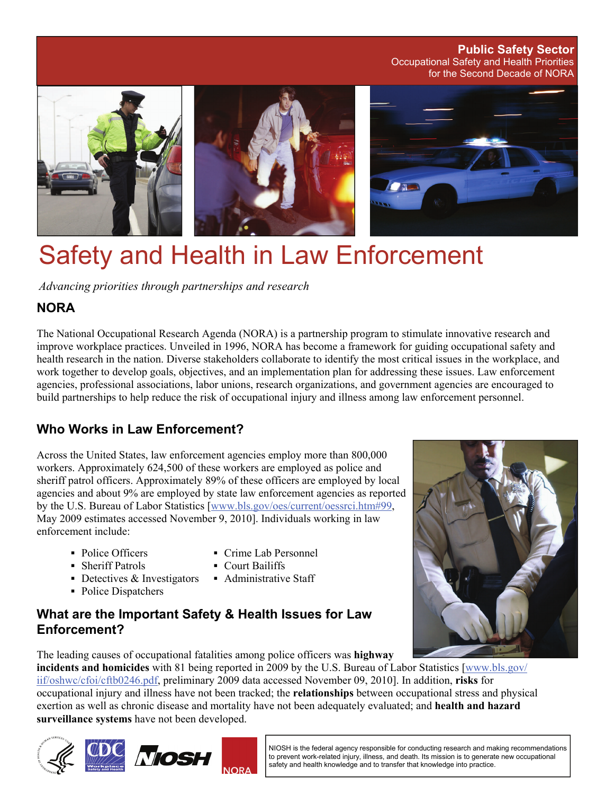Occupational Safety and Health Priorities for the Second Decade of NORA **Public Safety Sector** 



# Safety and Health in Law Enforcement

*Advancing priorities through partnerships and research* 

## **NORA**

The National Occupational Research Agenda (NORA) is a partnership program to stimulate innovative research and improve workplace practices. Unveiled in 1996, NORA has become a framework for guiding occupational safety and health research in the nation. Diverse stakeholders collaborate to identify the most critical issues in the workplace, and work together to develop goals, objectives, and an implementation plan for addressing these issues. Law enforcement agencies, professional associations, labor unions, research organizations, and government agencies are encouraged to build partnerships to help reduce the risk of occupational injury and illness among law enforcement personnel.

# **Who Works in Law Enforcement?**

Across the United States, law enforcement agencies employ more than 800,000 workers. Approximately 624,500 of these workers are employed as police and sheriff patrol officers. Approximately 89% of these officers are employed by local agencies and about 9% are employed by state law enforcement agencies as reported by the U.S. Bureau of Labor Statistics [[www.bls.gov/oes/current/oessrci.htm#99,](http://www.bls.gov/oes/current/oessrci.htm#99) May 2009 estimates accessed November 9, 2010]. Individuals working in law enforcement include:

- 
- Sheriff Patrols Court Bailiffs
- $\blacksquare$  Detectives & Investigators  $\blacksquare$  Administrative Staff
- Police Dispatchers
- Police Officers Crime Lab Personnel
	-
	-

## **What are the Important Safety & Health Issues for Law Enforcement?**

The leading causes of occupational fatalities among police officers was **highway** 

**incidents and homicides** with 81 being reported in 2009 by the U.S. Bureau of Labor Statistics [[www.bls.gov/](http://www.bls.gov/iif/oshwc/cfoi/cftb0246.pdf) [iif/oshwc/cfoi/cftb0246.pdf,](http://www.bls.gov/iif/oshwc/cfoi/cftb0246.pdf) preliminary 2009 data accessed November 09, 2010]. In addition, **risks** for occupational injury and illness have not been tracked; the **relationships** between occupational stress and physical exertion as well as chronic disease and mortality have not been adequately evaluated; and **health and hazard surveillance systems** have not been developed.







NIOSH is the federal agency responsible for conducting research and making recommendations to prevent work-related injury, illness, and death. Its mission is to generate new occupational safety and health knowledge and to transfer that knowledge into practice.